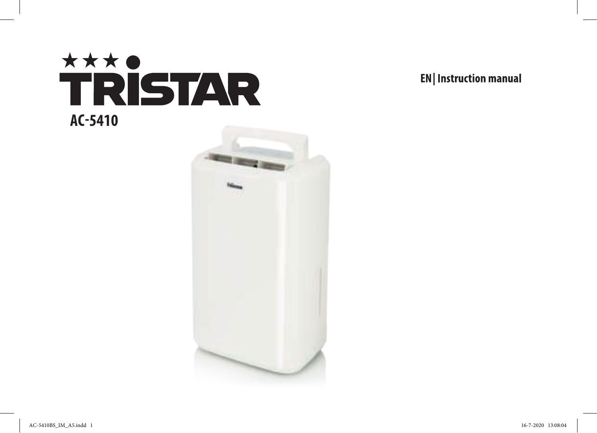



**EN** Instruction manual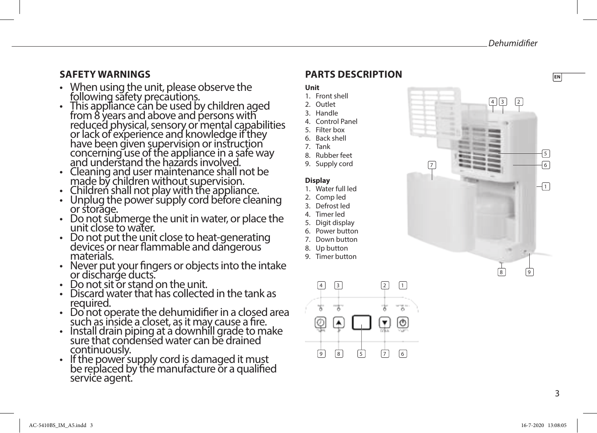**EN**

### **SAFETY WARNINGS**

- When using the unit, please observe the following safety precautions.
- This appliance can be used by children aged from 8 years and above and persons with reduced physical, sensory or mental capabilities or lack of experience and knowledge if they have been given supervision or instruction concerning use of the appliance in a safe way and understand the hazards involved.
- Cleaning and user maintenance shall not be made by children without supervision.
- Children shall not play with the appliance.
- $\cdot$  Unplug the power supply cord before cleaning or storage.
- Do not submerge the unit in water, or place the unit close to water.
- Do not put the unit close to heat-generating devices or near flammable and dangerous materials.
- Never put your fingers or objects into the intake or discharge ducts.
- Do not sit or stand on the unit.
- Discard water that has collected in the tank as required.
- Do not operate the dehumidifier in a closed area such as inside a closet, as it may cause a fire.
- Install drain piping at a downhill grade to make sure that condensed water can be drained continuously.
- If the power supply cord is damaged it must be replaced by the manufacture or a qualified service agent.

# **PARTS DESCRIPTION**

### **Unit**

- 1. Front shell
- 2. Outlet 3. Handle
- 4. Control Panel
- 5. Filter box
- 6. Back shell
- 7. Tank
- 8. Rubber feet
- 9. Supply cord

### **Display**

- 1. Water full led
- 2. Comp led
- 3. Defrost led
- 4. Timer led
- 5. Digit display
- 6. Power button
- 7. Down button
- 8. Up button
- 9. Timer button



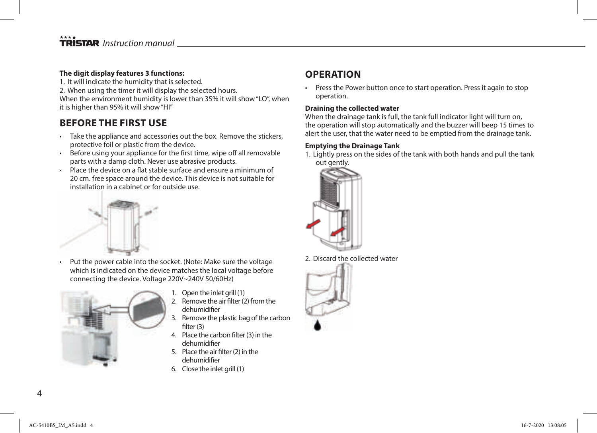## **TRISTAR** Instruction manual

### **The digit display features 3 functions:**

1. It will indicate the humidity that is selected.

2. When using the timer it will display the selected hours.

When the environment humidity is lower than 35% it will show "LO", when it is higher than 95% it will show "HI"

## **BEFORE THE FIRST USE**

- Take the appliance and accessories out the box. Remove the stickers, protective foil or plastic from the device.
- Before using your appliance for the first time, wipe off all removable parts with a damp cloth. Never use abrasive products.
- Place the device on a flat stable surface and ensure a minimum of 20 cm. free space around the device. This device is not suitable for installation in a cabinet or for outside use.



• Put the power cable into the socket. (Note: Make sure the voltage which is indicated on the device matches the local voltage before connecting the device. Voltage 220V~240V 50/60Hz)



- 1. Open the inlet grill (1)
- 2. Remove the air filter (2) from the dehumidifier
- 3. Remove the plastic bag of the carbon filter (3)
- 4. Place the carbon filter (3) in the dehumidifier
- 5. Place the air filter (2) in the dehumidifier
- 6. Close the inlet grill (1)

## **OPERATION**

• Press the Power button once to start operation. Press it again to stop operation.

### **Draining the collected water**

When the drainage tank is full, the tank full indicator light will turn on, the operation will stop automatically and the buzzer will beep 15 times to alert the user, that the water need to be emptied from the drainage tank.

### **Emptying the Drainage Tank**

1. Lightly press on the sides of the tank with both hands and pull the tank out gently.



2. Discard the collected water

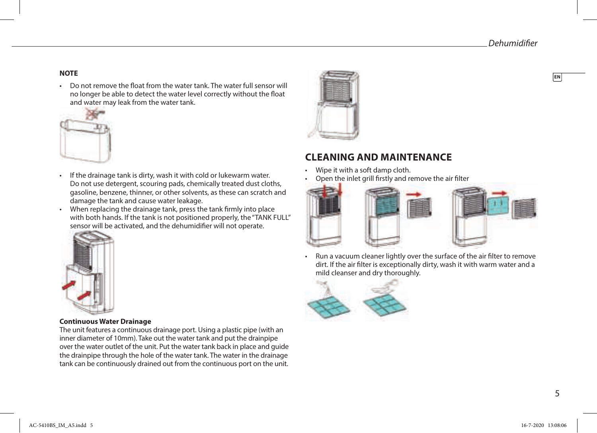• Do not remove the float from the water tank. The water full sensor will no longer be able to detect the water level correctly without the float and water may leak from the water tank.



- If the drainage tank is dirty, wash it with cold or lukewarm water. Do not use detergent, scouring pads, chemically treated dust cloths, gasoline, benzene, thinner, or other solvents, as these can scratch and damage the tank and cause water leakage.
- When replacing the drainage tank, press the tank firmly into place with both hands. If the tank is not positioned properly, the "TANK FULL" sensor will be activated, and the dehumidifier will not operate.



## **CLEANING AND MAINTENANCE**

- Wipe it with a soft damp cloth.
- Open the inlet grill firstly and remove the air filter









### **Continuous Water Drainage**

The unit features a continuous drainage port. Using a plastic pipe (with an inner diameter of 10mm). Take out the water tank and put the drainpipe over the water outlet of the unit. Put the water tank back in place and guide the drainpipe through the hole of the water tank. The water in the drainage tank can be continuously drained out from the continuous port on the unit.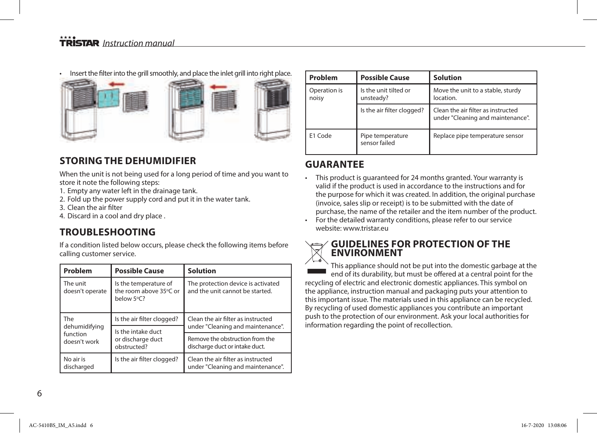## **TRISTAR** Instruction manual

• Insert the filter into the grill smoothly, and place the inlet grill into right place.



## **STORING THE DEHUMIDIFIER**

When the unit is not being used for a long period of time and you want to store it note the following steps:

- 1. Empty any water left in the drainage tank.
- 2. Fold up the power supply cord and put it in the water tank.
- 3. Clean the air filter
- 4. Discard in a cool and dry place .

### **TROUBLESHOOTING**

If a condition listed below occurs, please check the following items before calling customer service.

| Problem                                          | <b>Possible Cause</b>                                         | <b>Solution</b>                                                         |
|--------------------------------------------------|---------------------------------------------------------------|-------------------------------------------------------------------------|
| The unit<br>doesn't operate                      | Is the temperature of<br>the room above 35°C or<br>below 5°C? | The protection device is activated<br>and the unit cannot be started.   |
| The<br>dehumidifying<br>function<br>doesn't work | Is the air filter clogged?                                    | Clean the air filter as instructed<br>under "Cleaning and maintenance". |
|                                                  | Is the intake duct<br>or discharge duct<br>obstructed?        |                                                                         |
|                                                  |                                                               | Remove the obstruction from the<br>discharge duct or intake duct.       |
| No air is<br>discharged                          | Is the air filter clogged?                                    | Clean the air filter as instructed<br>under "Cleaning and maintenance". |

| Problem               | <b>Possible Cause</b>              | <b>Solution</b>                                                         |
|-----------------------|------------------------------------|-------------------------------------------------------------------------|
| Operation is<br>noisy | Is the unit tilted or<br>unsteady? | Move the unit to a stable, sturdy<br>location.                          |
|                       | Is the air filter clogged?         | Clean the air filter as instructed<br>under "Cleaning and maintenance". |
| E1 Code               | Pipe temperature<br>sensor failed  | Replace pipe temperature sensor                                         |

### **GUARANTEE**

- This product is guaranteed for 24 months granted. Your warranty is valid if the product is used in accordance to the instructions and for the purpose for which it was created. In addition, the original purchase (invoice, sales slip or receipt) is to be submitted with the date of purchase, the name of the retailer and the item number of the product.
- For the detailed warranty conditions, please refer to our service website: www.tristar.eu

### **GUIDELINES FOR PROTECTION OF THE ENVIRONMENT**

This appliance should not be put into the domestic garbage at the end of its durability, but must be offered at a central point for the recycling of electric and electronic domestic appliances. This symbol on the appliance, instruction manual and packaging puts your attention to this important issue. The materials used in this appliance can be recycled. By recycling of used domestic appliances you contribute an important push to the protection of our environment. Ask your local authorities for information regarding the point of recollection.